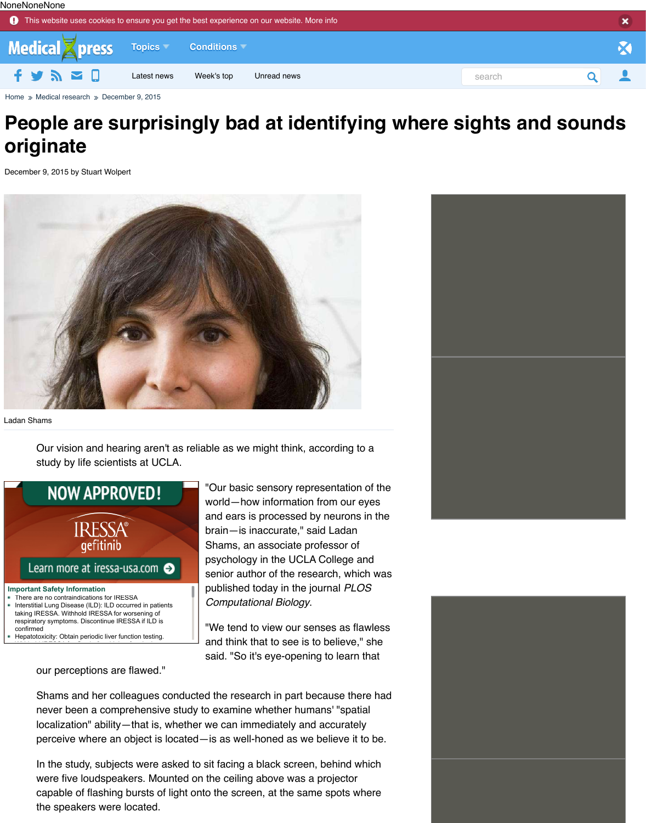

Ladan Shams

Our vision and hearing aren't as reliable as we might think, according to a study by life scientists at UCLA.



"Our basic sensory representation of the world—how information from our eyes and ears is processed by neurons in the brain—is inaccurate," said Ladan Shams, an associate professor of psychology in the UCLA College and senior author of the research, which was published today in the journal *PLOS Computational Biology*.

"We tend to view our senses as flawless and think that to see is to believe," she said. "So it's eye-opening to learn that

our perceptions are flawed."

[Shams and her colleagues conducted the research in part because the](http://img.medicalxpress.com/newman/gfx/news/hires/2015/peoplearesur.jpg)re had never been a comprehensive study to examine whether humans' "spatial localization" ability—that is, whether we can immediately and accurately perceive where an object is located—is as well-honed as we believe it to be.

In the study, subjects were asked to sit facing a black screen, behind which were five loudspeakers. Mounted on the ceiling above was a projector capable of flashing bursts of light onto the screen, at the same spots where the speakers were located.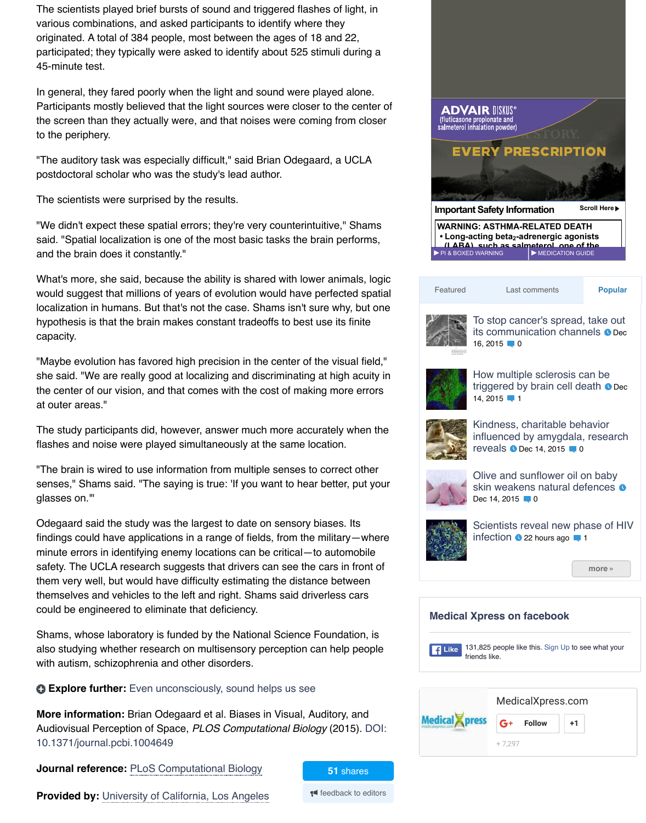localization in humans. But that's not the case. Shams isn't sure why, but one hypothesis is that the brain makes constant tradeoffs to best use its finite capacity.

"Maybe evolution has favored high precision in the center of the visual field," she said. "We are really good at localizing and discriminating at high acuity in the center of our vision, and that comes with the cost of making more errors at outer areas."

The study participants did, however, answer much more accurately when the flashes and noise were played simultaneously at the same location.

"The brain is wired to use information from multiple senses to correct other senses," Shams said. "The saying is true: 'If you want to hear better, put your glasses on.'"

Odegaard said the study was the largest to date on sensory biases. Its findings could have applications in a range of fields, from the military—where minute errors in identifying enemy locations can be critical—to automobile safety. The UCLA research suggests that drivers can see the cars in front of them very well, but would have difficulty estimating the distance between themselves and vehicles to the left and right. Shams said driverless cars could be engineered to eliminate that deficiency.

Shams, whose laboratory is funded by the National Science Foundation, is also studying whether research on multisensory perception can help people with autism, schizophrenia and other disorders.

**Explore further:** Even unconsciously, sound helps us see

**More information:** Brian Odegaard et al. Biases in Visual, Auditory, and Audiovisual Perception of Space, *PLOS Computational Biology* (2015). DOI: 10.1371/journal.pcbi.1004649

**Journal reference:** PLoS Computational Biology

**Provided by:** University of California, Los Angeles **for the editors** 

**51** shares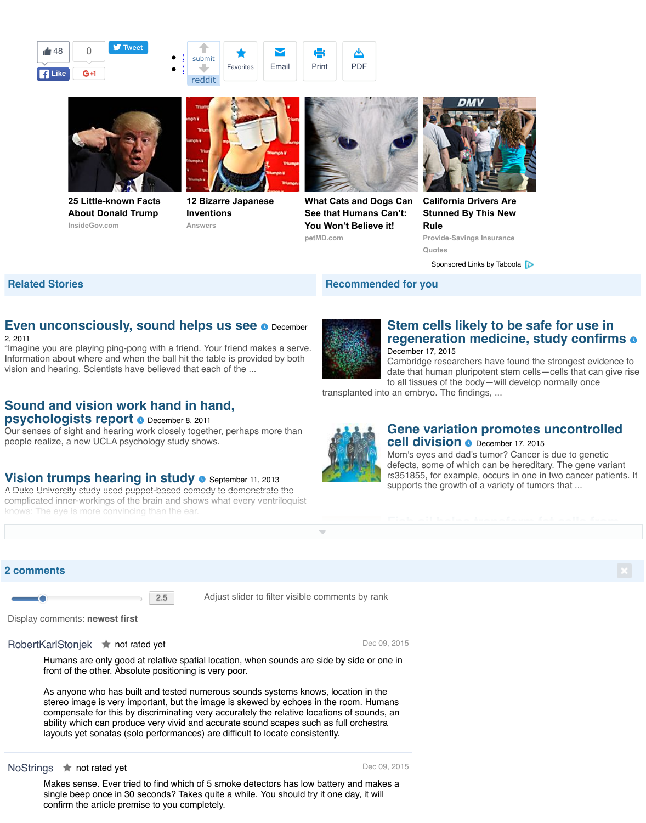## **Even unconsciously, sound helps us see o December**

## 2, 2011

"Imagine you are playing ping-pong with a friend. Your friend makes a serve. Information about where [and when t](https://twitter.com/intent/tweet?ref_src=twsrc%5Etfw&text=People%20are%20surprisingly%20bad%20at%20identifying%20where%20sights%20and%20sounds%20originate&tw_p=tweetbutton&url=http%3A%2F%2Fmedicalxpress.com%2Fnews%2F2015-12-people-surprisingly-bad-sights.html&via=medical_xpress)he ball hi[t the ta](http://www.reddit.com/submit?url=http%3A%2F%2Fmedicalxpress.com%2Fnews%2F2015-12-people-surprisingly-bad-sights.html)ble is provid[ed by bo](mailto:)t[h](http://medicalxpress.com/print368865916.html) vision and hearing. Scientists have believed [t](javascript:void(0);)[hat each](http://www.reddit.com/submit?url=http%3A%2F%2Fmedicalxpress.com%2Fnews%2F2015-12-people-surprisingly-bad-sights.html) [of the ...](https://sciencex.com/profile/?code=fav&nid=368865916)



Display comments: **newest first**

## [RobertKarlStonjek](http://medicalxpress.com/news/2011-12-unconsciously.html#nRlv) **Arthur rated yet Notified State Control Control Control Control Control Dec 0[9, 2015](http://medicalxpress.com/news/2015-12-stem-cells-safe-regeneration-medicine.html#nRlv)**

Humans are only good at relative spatial location, when sounds are side by side or one in front of the other. Absolute positioning is very poor.

As anyone who has built and tested numerous sounds systems knows, location in the stereo image is very important, but the image is skewed by echoes in the room. Humans [compensate for this by discriminating very accur](http://medicalxpress.com/news/2011-12-vision-psychologists.html#nRlv)ately the relative locations of sounds, an ability which can produce very vivid and accurate sound scapes such as full orchestra layouts yet sonatas (solo performances) are difficult to locate consistently.

## NoStrings  $\qquadblacklozenge$  not rated yet  $\qquad \qquad \text{Dec } 09, 201$

[Makes sense. Ever tried to find which](http://medicalxpress.com/news/2013-09-vision-trumps.html#nRlv) of 5 smoke detectors has low battery and makes a single beep once in 30 seconds? Takes quite a while. You should try it one day, it will confirm the article premise to you completely.

**regeneration medicine, study confirms** De Ca da<sup>.</sup>  $\mathsf{to}$ 

 $S<sub>t</sub>$ 

transplanted into a